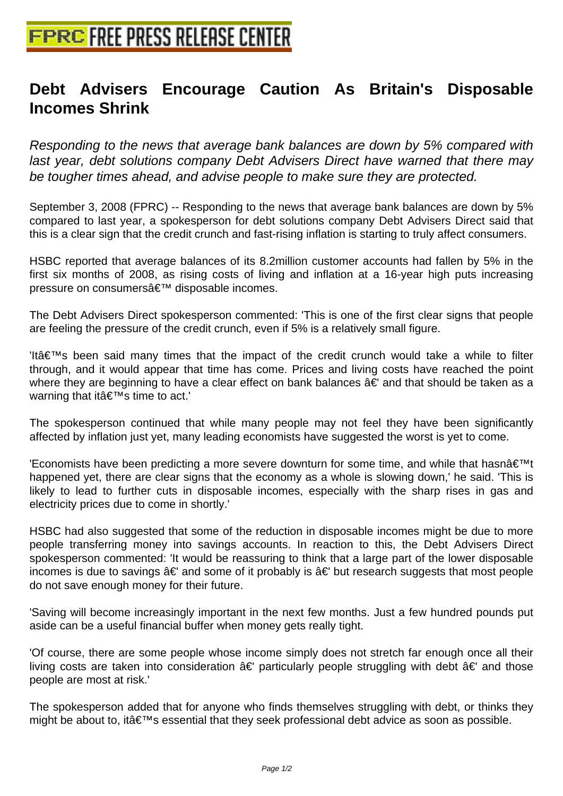## **[Debt Advisers Encourage Caut](http://www.free-press-release-center.info)ion As Britain's Disposable Incomes Shrink**

Responding to the news that average bank balances are down by 5% compared with last year, debt solutions company Debt Advisers Direct have warned that there may be tougher times ahead, and advise people to make sure they are protected.

September 3, 2008 (FPRC) -- Responding to the news that average bank balances are down by 5% compared to last year, a spokesperson for debt solutions company Debt Advisers Direct said that this is a clear sign that the credit crunch and fast-rising inflation is starting to truly affect consumers.

HSBC reported that average balances of its 8.2million customer accounts had fallen by 5% in the first six months of 2008, as rising costs of living and inflation at a 16-year high puts increasing pressure on consumers' disposable incomes.

The Debt Advisers Direct spokesperson commented: 'This is one of the first clear signs that people are feeling the pressure of the credit crunch, even if 5% is a relatively small figure.

 $'$ Itâ $\in$ <sup>TM</sup>s been said many times that the impact of the credit crunch would take a while to filter through, and it would appear that time has come. Prices and living costs have reached the point where they are beginning to have a clear effect on bank balances â€' and that should be taken as a warning that it's time to act.'

The spokesperson continued that while many people may not feel they have been significantly affected by inflation just yet, many leading economists have suggested the worst is yet to come.

'Economists have been predicting a more severe downturn for some time, and while that hasn $\hat{\mathbf{a}} \in \mathbb{M}$ t happened yet, there are clear signs that the economy as a whole is slowing down,' he said. 'This is likely to lead to further cuts in disposable incomes, especially with the sharp rises in gas and electricity prices due to come in shortly.'

HSBC had also suggested that some of the reduction in disposable incomes might be due to more people transferring money into savings accounts. In reaction to this, the Debt Advisers Direct spokesperson commented: 'It would be reassuring to think that a large part of the lower disposable incomes is due to savings â€' and some of it probably is â€' but research suggests that most people do not save enough money for their future.

'Saving will become increasingly important in the next few months. Just a few hundred pounds put aside can be a useful financial buffer when money gets really tight.

'Of course, there are some people whose income simply does not stretch far enough once all their living costs are taken into consideration â€' particularly people struggling with debt â€' and those people are most at risk.'

The spokesperson added that for anyone who finds themselves struggling with debt, or thinks they might be about to, it  $\hat{\mathbf{a}} \in \mathbb{M}$ s essential that they seek professional debt advice as soon as possible.